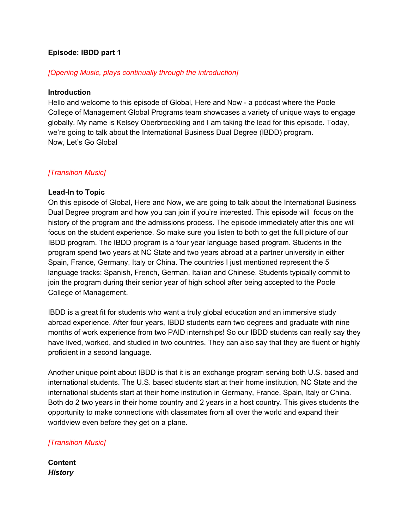### **Episode: IBDD part 1**

### *[Opening Music, plays continually through the introduction]*

#### **Introduction**

Hello and welcome to this episode of Global, Here and Now - a podcast where the Poole College of Management Global Programs team showcases a variety of unique ways to engage globally. My name is Kelsey Oberbroeckling and I am taking the lead for this episode. Today, we're going to talk about the International Business Dual Degree (IBDD) program. Now, Let's Go Global

## *[Transition Music]*

#### **Lead-In to Topic**

On this episode of Global, Here and Now, we are going to talk about the International Business Dual Degree program and how you can join if you're interested. This episode will focus on the history of the program and the admissions process. The episode immediately after this one will focus on the student experience. So make sure you listen to both to get the full picture of our IBDD program. The IBDD program is a four year language based program. Students in the program spend two years at NC State and two years abroad at a partner university in either Spain, France, Germany, Italy or China. The countries I just mentioned represent the 5 language tracks: Spanish, French, German, Italian and Chinese. Students typically commit to join the program during their senior year of high school after being accepted to the Poole College of Management.

IBDD is a great fit for students who want a truly global education and an immersive study abroad experience. After four years, IBDD students earn two degrees and graduate with nine months of work experience from two PAID internships! So our IBDD students can really say they have lived, worked, and studied in two countries. They can also say that they are fluent or highly proficient in a second language.

Another unique point about IBDD is that it is an exchange program serving both U.S. based and international students. The U.S. based students start at their home institution, NC State and the international students start at their home institution in Germany, France, Spain, Italy or China. Both do 2 two years in their home country and 2 years in a host country. This gives students the opportunity to make connections with classmates from all over the world and expand their worldview even before they get on a plane.

### *[Transition Music]*

**Content** *History*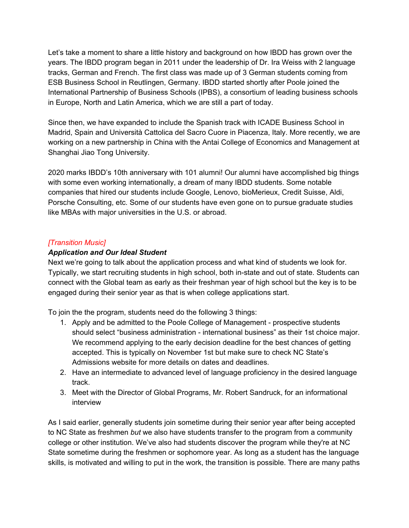Let's take a moment to share a little history and background on how IBDD has grown over the years. The IBDD program began in 2011 under the leadership of Dr. Ira Weiss with 2 language tracks, German and French. The first class was made up of 3 German students coming from ESB Business School in Reutlingen, Germany. IBDD started shortly after Poole joined the International Partnership of Business Schools (IPBS), a consortium of leading business schools in Europe, North and Latin America, which we are still a part of today.

Since then, we have expanded to include the Spanish track with ICADE Business School in Madrid, Spain and Università Cattolica del Sacro Cuore in Piacenza, Italy. More recently, we are working on a new partnership in China with the Antai College of Economics and Management at Shanghai Jiao Tong University.

2020 marks IBDD's 10th anniversary with 101 alumni! Our alumni have accomplished big things with some even working internationally, a dream of many IBDD students. Some notable companies that hired our students include Google, Lenovo, bioMerieux, Credit Suisse, Aldi, Porsche Consulting, etc. Some of our students have even gone on to pursue graduate studies like MBAs with major universities in the U.S. or abroad.

## *[Transition Music]*

## *Application and Our Ideal Student*

Next we're going to talk about the application process and what kind of students we look for. Typically, we start recruiting students in high school, both in-state and out of state. Students can connect with the Global team as early as their freshman year of high school but the key is to be engaged during their senior year as that is when college applications start.

To join the the program, students need do the following 3 things:

- 1. Apply and be admitted to the Poole College of Management prospective students should select "business administration - international business" as their 1st choice major. We recommend applying to the early decision deadline for the best chances of getting accepted. This is typically on November 1st but make sure to check NC State's Admissions website for more details on dates and deadlines.
- 2. Have an intermediate to advanced level of language proficiency in the desired language track.
- 3. Meet with the Director of Global Programs, Mr. Robert Sandruck, for an informational interview

As I said earlier, generally students join sometime during their senior year after being accepted to NC State as freshmen *but* we also have students transfer to the program from a community college or other institution. We've also had students discover the program while they're at NC State sometime during the freshmen or sophomore year. As long as a student has the language skills, is motivated and willing to put in the work, the transition is possible. There are many paths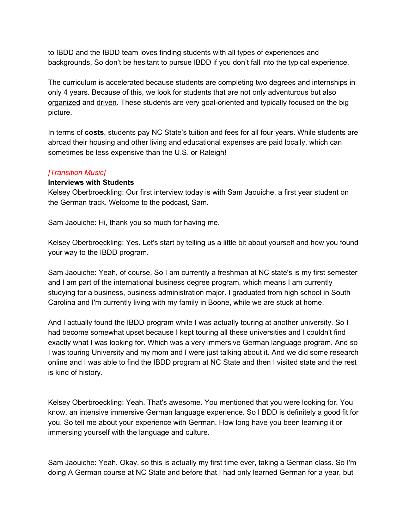to IBDD and the IBDD team loves finding students with all types of experiences and backgrounds. So don't be hesitant to pursue IBDD if you don't fall into the typical experience.

The curriculum is accelerated because students are completing two degrees and internships in only 4 years. Because of this, we look for students that are not only adventurous but also organized and driven. These students are very goal-oriented and typically focused on the big picture.

In terms of **costs**, students pay NC State's tuition and fees for all four years. While students are abroad their housing and other living and educational expenses are paid locally, which can sometimes be less expensive than the U.S. or Raleigh!

## *[Transition Music]*

### **Interviews with Students**

Kelsey Oberbroeckling: Our first interview today is with Sam Jaouiche, a first year student on the German track. Welcome to the podcast, Sam.

Sam Jaouiche: Hi, thank you so much for having me.

Kelsey Oberbroeckling: Yes. Let's start by telling us a little bit about yourself and how you found your way to the IBDD program.

Sam Jaouiche: Yeah, of course. So I am currently a freshman at NC state's is my first semester and I am part of the international business degree program, which means I am currently studying for a business, business administration major. I graduated from high school in South Carolina and I'm currently living with my family in Boone, while we are stuck at home.

And I actually found the IBDD program while I was actually touring at another university. So I had become somewhat upset because I kept touring all these universities and I couldn't find exactly what I was looking for. Which was a very immersive German language program. And so I was touring University and my mom and I were just talking about it. And we did some research online and I was able to find the IBDD program at NC State and then I visited state and the rest is kind of history.

Kelsey Oberbroeckling: Yeah. That's awesome. You mentioned that you were looking for. You know, an intensive immersive German language experience. So I BDD is definitely a good fit for you. So tell me about your experience with German. How long have you been learning it or immersing yourself with the language and culture.

Sam Jaouiche: Yeah. Okay, so this is actually my first time ever, taking a German class. So I'm doing A German course at NC State and before that I had only learned German for a year, but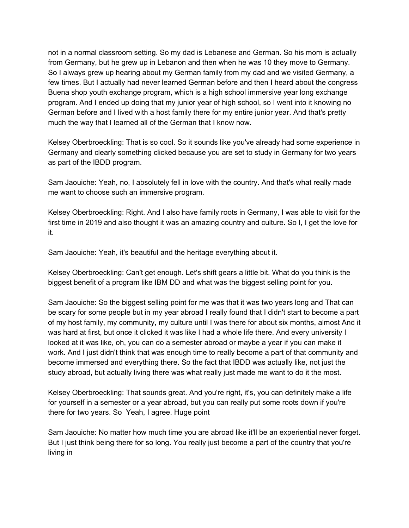not in a normal classroom setting. So my dad is Lebanese and German. So his mom is actually from Germany, but he grew up in Lebanon and then when he was 10 they move to Germany. So I always grew up hearing about my German family from my dad and we visited Germany, a few times. But I actually had never learned German before and then I heard about the congress Buena shop youth exchange program, which is a high school immersive year long exchange program. And I ended up doing that my junior year of high school, so I went into it knowing no German before and I lived with a host family there for my entire junior year. And that's pretty much the way that I learned all of the German that I know now.

Kelsey Oberbroeckling: That is so cool. So it sounds like you've already had some experience in Germany and clearly something clicked because you are set to study in Germany for two years as part of the IBDD program.

Sam Jaouiche: Yeah, no, I absolutely fell in love with the country. And that's what really made me want to choose such an immersive program.

Kelsey Oberbroeckling: Right. And I also have family roots in Germany, I was able to visit for the first time in 2019 and also thought it was an amazing country and culture. So I, I get the love for it.

Sam Jaouiche: Yeah, it's beautiful and the heritage everything about it.

Kelsey Oberbroeckling: Can't get enough. Let's shift gears a little bit. What do you think is the biggest benefit of a program like IBM DD and what was the biggest selling point for you.

Sam Jaouiche: So the biggest selling point for me was that it was two years long and That can be scary for some people but in my year abroad I really found that I didn't start to become a part of my host family, my community, my culture until I was there for about six months, almost And it was hard at first, but once it clicked it was like I had a whole life there. And every university I looked at it was like, oh, you can do a semester abroad or maybe a year if you can make it work. And I just didn't think that was enough time to really become a part of that community and become immersed and everything there. So the fact that IBDD was actually like, not just the study abroad, but actually living there was what really just made me want to do it the most.

Kelsey Oberbroeckling: That sounds great. And you're right, it's, you can definitely make a life for yourself in a semester or a year abroad, but you can really put some roots down if you're there for two years. So Yeah, I agree. Huge point

Sam Jaouiche: No matter how much time you are abroad like it'll be an experiential never forget. But I just think being there for so long. You really just become a part of the country that you're living in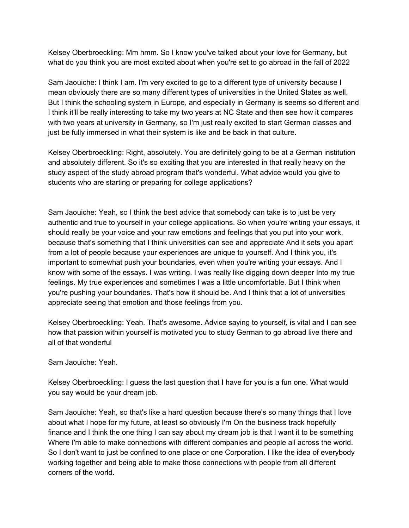Kelsey Oberbroeckling: Mm hmm. So I know you've talked about your love for Germany, but what do you think you are most excited about when you're set to go abroad in the fall of 2022

Sam Jaouiche: I think I am. I'm very excited to go to a different type of university because I mean obviously there are so many different types of universities in the United States as well. But I think the schooling system in Europe, and especially in Germany is seems so different and I think it'll be really interesting to take my two years at NC State and then see how it compares with two years at university in Germany, so I'm just really excited to start German classes and just be fully immersed in what their system is like and be back in that culture.

Kelsey Oberbroeckling: Right, absolutely. You are definitely going to be at a German institution and absolutely different. So it's so exciting that you are interested in that really heavy on the study aspect of the study abroad program that's wonderful. What advice would you give to students who are starting or preparing for college applications?

Sam Jaouiche: Yeah, so I think the best advice that somebody can take is to just be very authentic and true to yourself in your college applications. So when you're writing your essays, it should really be your voice and your raw emotions and feelings that you put into your work, because that's something that I think universities can see and appreciate And it sets you apart from a lot of people because your experiences are unique to yourself. And I think you, it's important to somewhat push your boundaries, even when you're writing your essays. And I know with some of the essays. I was writing. I was really like digging down deeper Into my true feelings. My true experiences and sometimes I was a little uncomfortable. But I think when you're pushing your boundaries. That's how it should be. And I think that a lot of universities appreciate seeing that emotion and those feelings from you.

Kelsey Oberbroeckling: Yeah. That's awesome. Advice saying to yourself, is vital and I can see how that passion within yourself is motivated you to study German to go abroad live there and all of that wonderful

Sam Jaouiche: Yeah.

Kelsey Oberbroeckling: I guess the last question that I have for you is a fun one. What would you say would be your dream job.

Sam Jaouiche: Yeah, so that's like a hard question because there's so many things that I love about what I hope for my future, at least so obviously I'm On the business track hopefully finance and I think the one thing I can say about my dream job is that I want it to be something Where I'm able to make connections with different companies and people all across the world. So I don't want to just be confined to one place or one Corporation. I like the idea of everybody working together and being able to make those connections with people from all different corners of the world.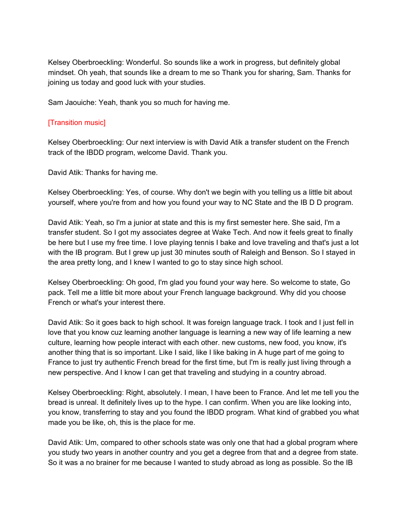Kelsey Oberbroeckling: Wonderful. So sounds like a work in progress, but definitely global mindset. Oh yeah, that sounds like a dream to me so Thank you for sharing, Sam. Thanks for joining us today and good luck with your studies.

Sam Jaouiche: Yeah, thank you so much for having me.

## [Transition music]

Kelsey Oberbroeckling: Our next interview is with David Atik a transfer student on the French track of the IBDD program, welcome David. Thank you.

David Atik: Thanks for having me.

Kelsey Oberbroeckling: Yes, of course. Why don't we begin with you telling us a little bit about yourself, where you're from and how you found your way to NC State and the IB D D program.

David Atik: Yeah, so I'm a junior at state and this is my first semester here. She said, I'm a transfer student. So I got my associates degree at Wake Tech. And now it feels great to finally be here but I use my free time. I love playing tennis I bake and love traveling and that's just a lot with the IB program. But I grew up just 30 minutes south of Raleigh and Benson. So I stayed in the area pretty long, and I knew I wanted to go to stay since high school.

Kelsey Oberbroeckling: Oh good, I'm glad you found your way here. So welcome to state, Go pack. Tell me a little bit more about your French language background. Why did you choose French or what's your interest there.

David Atik: So it goes back to high school. It was foreign language track. I took and I just fell in love that you know cuz learning another language is learning a new way of life learning a new culture, learning how people interact with each other. new customs, new food, you know, it's another thing that is so important. Like I said, like I like baking in A huge part of me going to France to just try authentic French bread for the first time, but I'm is really just living through a new perspective. And I know I can get that traveling and studying in a country abroad.

Kelsey Oberbroeckling: Right, absolutely. I mean, I have been to France. And let me tell you the bread is unreal. It definitely lives up to the hype. I can confirm. When you are like looking into, you know, transferring to stay and you found the IBDD program. What kind of grabbed you what made you be like, oh, this is the place for me.

David Atik: Um, compared to other schools state was only one that had a global program where you study two years in another country and you get a degree from that and a degree from state. So it was a no brainer for me because I wanted to study abroad as long as possible. So the IB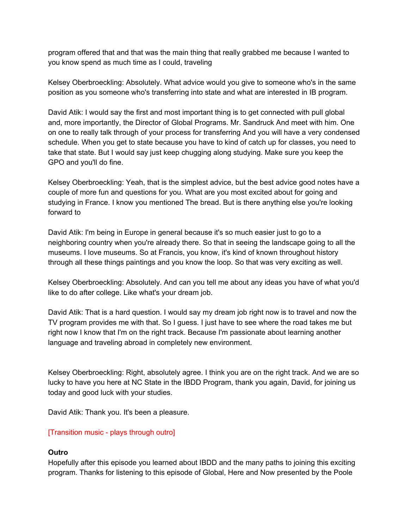program offered that and that was the main thing that really grabbed me because I wanted to you know spend as much time as I could, traveling

Kelsey Oberbroeckling: Absolutely. What advice would you give to someone who's in the same position as you someone who's transferring into state and what are interested in IB program.

David Atik: I would say the first and most important thing is to get connected with pull global and, more importantly, the Director of Global Programs. Mr. Sandruck And meet with him. One on one to really talk through of your process for transferring And you will have a very condensed schedule. When you get to state because you have to kind of catch up for classes, you need to take that state. But I would say just keep chugging along studying. Make sure you keep the GPO and you'll do fine.

Kelsey Oberbroeckling: Yeah, that is the simplest advice, but the best advice good notes have a couple of more fun and questions for you. What are you most excited about for going and studying in France. I know you mentioned The bread. But is there anything else you're looking forward to

David Atik: I'm being in Europe in general because it's so much easier just to go to a neighboring country when you're already there. So that in seeing the landscape going to all the museums. I love museums. So at Francis, you know, it's kind of known throughout history through all these things paintings and you know the loop. So that was very exciting as well.

Kelsey Oberbroeckling: Absolutely. And can you tell me about any ideas you have of what you'd like to do after college. Like what's your dream job.

David Atik: That is a hard question. I would say my dream job right now is to travel and now the TV program provides me with that. So I guess. I just have to see where the road takes me but right now I know that I'm on the right track. Because I'm passionate about learning another language and traveling abroad in completely new environment.

Kelsey Oberbroeckling: Right, absolutely agree. I think you are on the right track. And we are so lucky to have you here at NC State in the IBDD Program, thank you again, David, for joining us today and good luck with your studies.

David Atik: Thank you. It's been a pleasure.

# [Transition music - plays through outro]

### **Outro**

Hopefully after this episode you learned about IBDD and the many paths to joining this exciting program. Thanks for listening to this episode of Global, Here and Now presented by the Poole